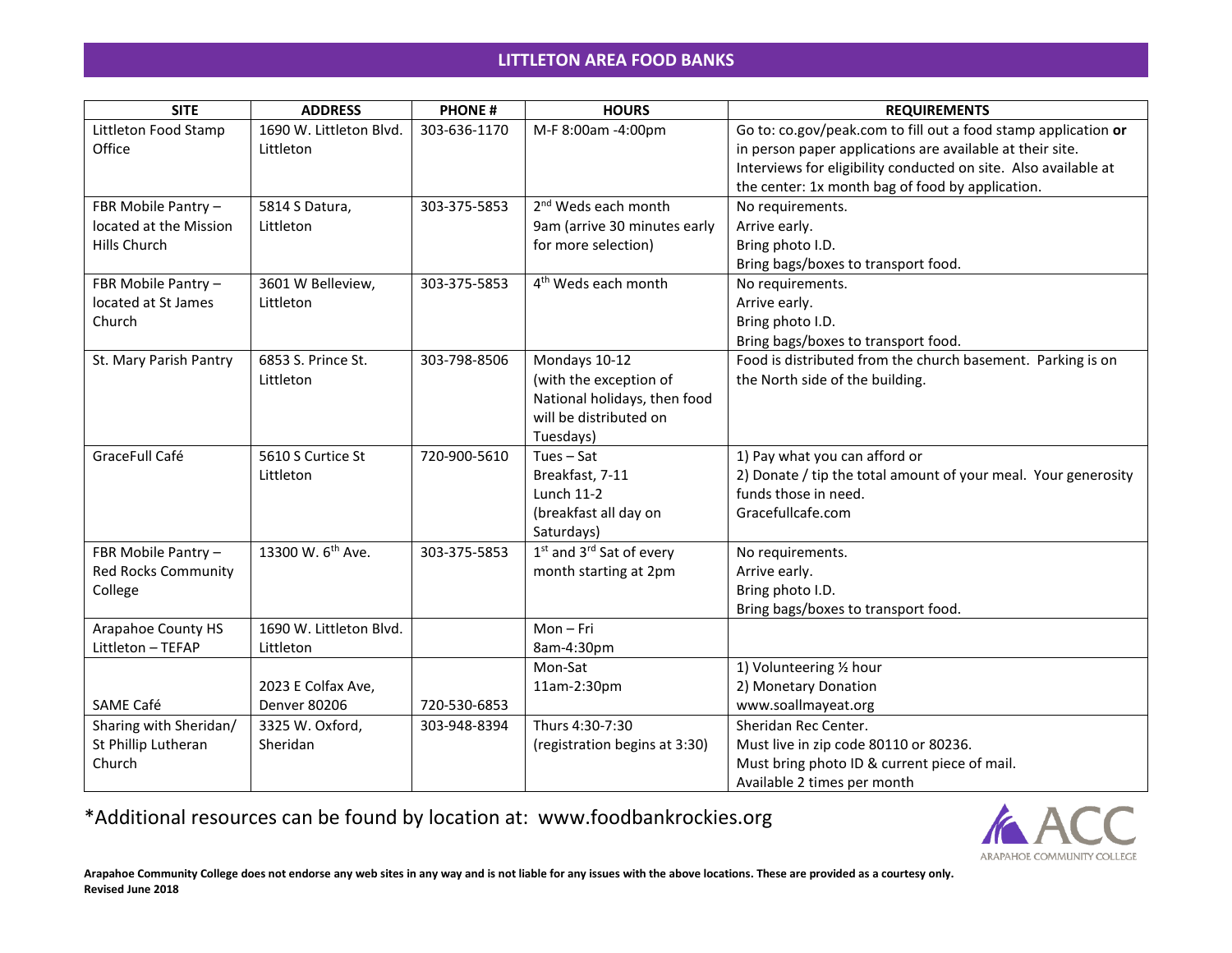## **LITTLETON AREA FOOD BANKS**

| <b>SITE</b>                | <b>ADDRESS</b>                | <b>PHONE#</b> | <b>HOURS</b>                                     | <b>REQUIREMENTS</b>                                             |
|----------------------------|-------------------------------|---------------|--------------------------------------------------|-----------------------------------------------------------------|
| Littleton Food Stamp       | 1690 W. Littleton Blvd.       | 303-636-1170  | M-F 8:00am -4:00pm                               | Go to: co.gov/peak.com to fill out a food stamp application or  |
| Office                     | Littleton                     |               |                                                  | in person paper applications are available at their site.       |
|                            |                               |               |                                                  | Interviews for eligibility conducted on site. Also available at |
|                            |                               |               |                                                  | the center: 1x month bag of food by application.                |
| FBR Mobile Pantry -        | 5814 S Datura,                | 303-375-5853  | 2 <sup>nd</sup> Weds each month                  | No requirements.                                                |
| located at the Mission     | Littleton                     |               | 9am (arrive 30 minutes early                     | Arrive early.                                                   |
| Hills Church               |                               |               | for more selection)                              | Bring photo I.D.                                                |
|                            |                               |               |                                                  | Bring bags/boxes to transport food.                             |
| FBR Mobile Pantry -        | 3601 W Belleview,             | 303-375-5853  | 4 <sup>th</sup> Weds each month                  | No requirements.                                                |
| located at St James        | Littleton                     |               |                                                  | Arrive early.                                                   |
| Church                     |                               |               |                                                  | Bring photo I.D.                                                |
|                            |                               |               |                                                  | Bring bags/boxes to transport food.                             |
| St. Mary Parish Pantry     | 6853 S. Prince St.            | 303-798-8506  | Mondays 10-12                                    | Food is distributed from the church basement. Parking is on     |
|                            | Littleton                     |               | (with the exception of                           | the North side of the building.                                 |
|                            |                               |               | National holidays, then food                     |                                                                 |
|                            |                               |               | will be distributed on                           |                                                                 |
|                            |                               |               | Tuesdays)                                        |                                                                 |
| GraceFull Café             | 5610 S Curtice St             | 720-900-5610  | $Tues - Sat$                                     | 1) Pay what you can afford or                                   |
|                            | Littleton                     |               | Breakfast, 7-11                                  | 2) Donate / tip the total amount of your meal. Your generosity  |
|                            |                               |               | <b>Lunch 11-2</b>                                | funds those in need.                                            |
|                            |                               |               | (breakfast all day on                            | Gracefullcafe.com                                               |
|                            |                               |               | Saturdays)                                       |                                                                 |
| FBR Mobile Pantry -        | 13300 W. 6 <sup>th</sup> Ave. | 303-375-5853  | 1 <sup>st</sup> and 3 <sup>rd</sup> Sat of every | No requirements.                                                |
| <b>Red Rocks Community</b> |                               |               | month starting at 2pm                            | Arrive early.                                                   |
| College                    |                               |               |                                                  | Bring photo I.D.                                                |
|                            |                               |               |                                                  | Bring bags/boxes to transport food.                             |
| Arapahoe County HS         | 1690 W. Littleton Blvd.       |               | Mon-Fri                                          |                                                                 |
| Littleton - TEFAP          | Littleton                     |               | 8am-4:30pm                                       |                                                                 |
|                            |                               |               | Mon-Sat                                          | 1) Volunteering 1/2 hour                                        |
|                            | 2023 E Colfax Ave,            |               | 11am-2:30pm                                      | 2) Monetary Donation                                            |
| SAME Café                  | <b>Denver 80206</b>           | 720-530-6853  |                                                  | www.soallmayeat.org                                             |
| Sharing with Sheridan/     | 3325 W. Oxford,               | 303-948-8394  | Thurs 4:30-7:30                                  | Sheridan Rec Center.                                            |
| St Phillip Lutheran        | Sheridan                      |               | (registration begins at 3:30)                    | Must live in zip code 80110 or 80236.                           |
| Church                     |                               |               |                                                  | Must bring photo ID & current piece of mail.                    |
|                            |                               |               |                                                  | Available 2 times per month                                     |

\*Additional resources can be found by location at: www.foodbankrockies.org